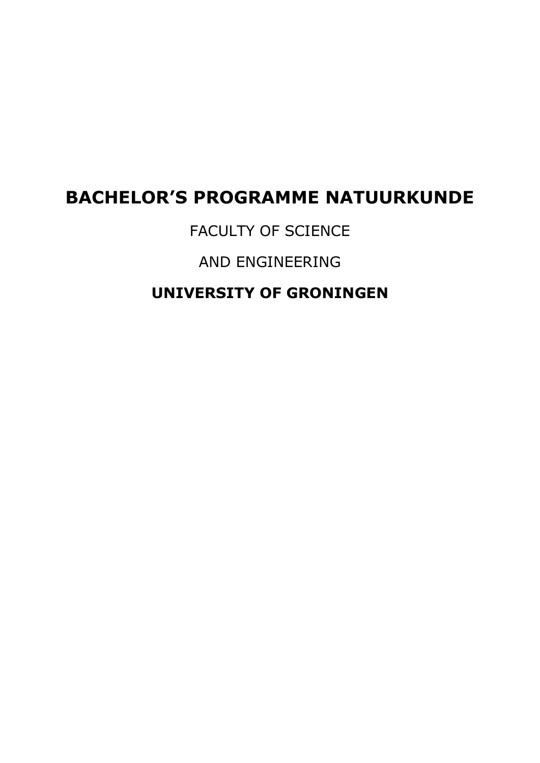# **BACHELOR'S PROGRAMME NATUURKUNDE**

FACULTY OF SCIENCE

AND ENGINEERING

**UNIVERSITY OF GRONINGEN**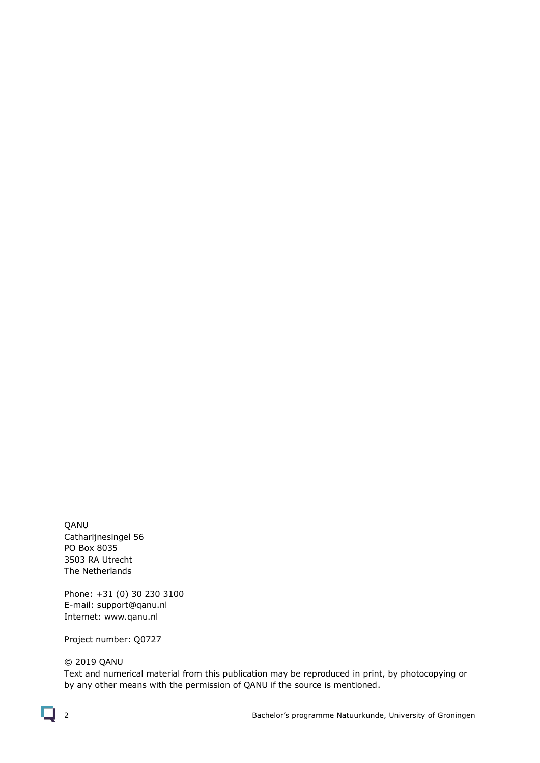QANU Catharijnesingel 56 PO Box 8035 3503 RA Utrecht The Netherlands

Phone: +31 (0) 30 230 3100 E-mail: support@qanu.nl Internet: www.qanu.nl

Project number: Q0727

#### © 2019 QANU

Text and numerical material from this publication may be reproduced in print, by photocopying or by any other means with the permission of QANU if the source is mentioned.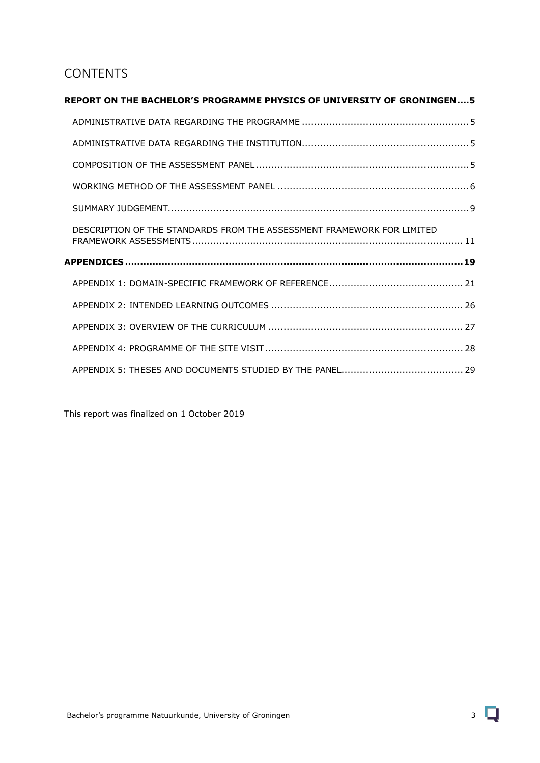## CONTENTS

This report was finalized on 1 October 2019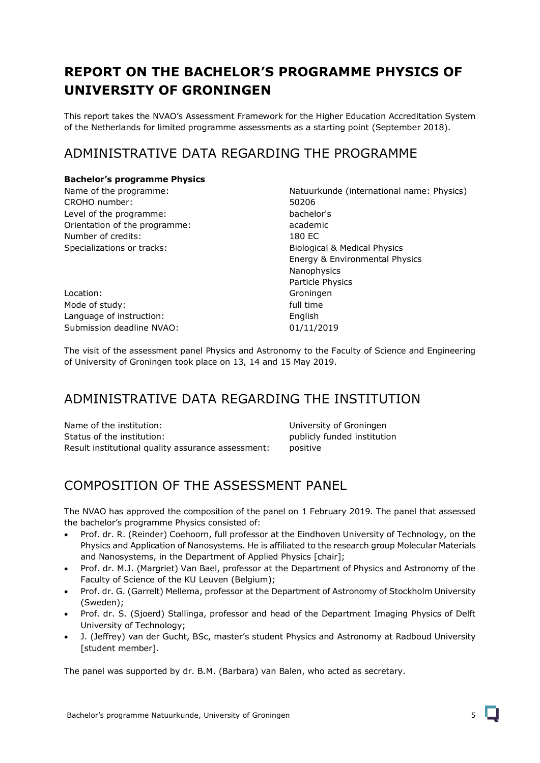## <span id="page-4-0"></span>**REPORT ON THE BACHELOR'S PROGRAMME PHYSICS OF UNIVERSITY OF GRONINGEN**

This report takes the NVAO's Assessment Framework for the Higher Education Accreditation System of the Netherlands for limited programme assessments as a starting point (September 2018).

### <span id="page-4-1"></span>ADMINISTRATIVE DATA REGARDING THE PROGRAMME

#### **Bachelor's programme Physics**

CROHO number: 50206 Level of the programme: bachelor's Orientation of the programme: academic Number of credits: 180 EC Specializations or tracks: Biological & Medical Physics

Location: Groningen Mode of study: The study: the study of study: Language of instruction: English Submission deadline NVAO: 01/11/2019

Name of the programme: Natuurkunde (international name: Physics) Energy & Environmental Physics Nanophysics Particle Physics

The visit of the assessment panel Physics and Astronomy to the Faculty of Science and Engineering of University of Groningen took place on 13, 14 and 15 May 2019.

### <span id="page-4-2"></span>ADMINISTRATIVE DATA REGARDING THE INSTITUTION

Name of the institution: University of Groningen Status of the institution: example in the institution of the institution: Result institutional quality assurance assessment: positive

## <span id="page-4-3"></span>COMPOSITION OF THE ASSESSMENT PANEL

The NVAO has approved the composition of the panel on 1 February 2019. The panel that assessed the bachelor's programme Physics consisted of:

- Prof. dr. R. (Reinder) Coehoorn, full professor at the Eindhoven University of Technology, on the Physics and Application of Nanosystems. He is affiliated to the research group Molecular Materials and Nanosystems, in the Department of Applied Physics [chair];
- Prof. dr. M.J. (Margriet) Van Bael, professor at the Department of Physics and Astronomy of the Faculty of Science of the KU Leuven (Belgium);
- Prof. dr. G. (Garrelt) Mellema, professor at the Department of Astronomy of Stockholm University (Sweden);
- Prof. dr. S. (Sjoerd) Stallinga, professor and head of the Department Imaging Physics of Delft University of Technology;
- J. (Jeffrey) van der Gucht, BSc, master's student Physics and Astronomy at Radboud University [student member].

The panel was supported by dr. B.M. (Barbara) van Balen, who acted as secretary.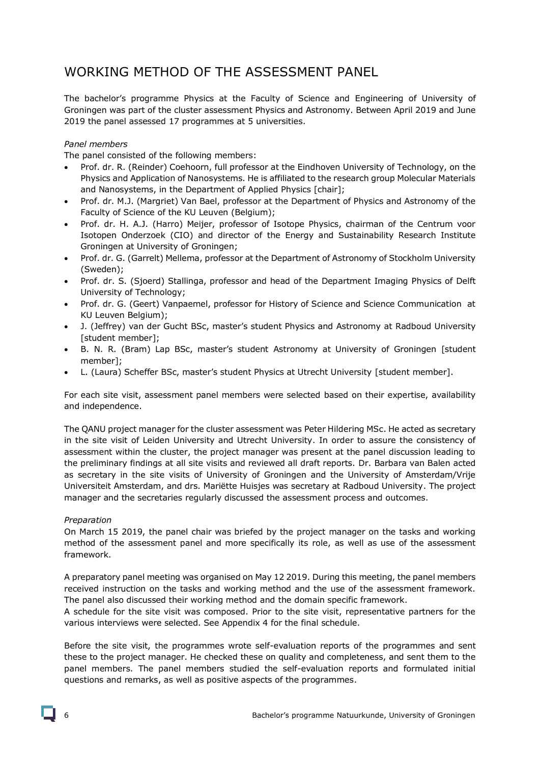## <span id="page-5-0"></span>WORKING METHOD OF THE ASSESSMENT PANEL

The bachelor's programme Physics at the Faculty of Science and Engineering of University of Groningen was part of the cluster assessment Physics and Astronomy. Between April 2019 and June 2019 the panel assessed 17 programmes at 5 universities.

#### *Panel members*

The panel consisted of the following members:

- Prof. dr. R. (Reinder) Coehoorn, full professor at the Eindhoven University of Technology, on the Physics and Application of Nanosystems. He is affiliated to the research group Molecular Materials and Nanosystems, in the Department of Applied Physics [chair];
- Prof. dr. M.J. (Margriet) Van Bael, professor at the Department of Physics and Astronomy of the Faculty of Science of the KU Leuven (Belgium);
- Prof. dr. H. A.J. (Harro) Meijer, professor of Isotope Physics, chairman of the Centrum voor Isotopen Onderzoek (CIO) and director of the Energy and Sustainability Research Institute Groningen at University of Groningen;
- Prof. dr. G. (Garrelt) Mellema, professor at the Department of Astronomy of Stockholm University (Sweden);
- Prof. dr. S. (Sjoerd) Stallinga, professor and head of the Department Imaging Physics of Delft University of Technology;
- Prof. dr. G. (Geert) Vanpaemel, professor for History of Science and Science Communication at KU Leuven Belgium);
- J. (Jeffrey) van der Gucht BSc, master's student Physics and Astronomy at Radboud University [student member];
- B. N. R. (Bram) Lap BSc, master's student Astronomy at University of Groningen [student member];
- L. (Laura) Scheffer BSc, master's student Physics at Utrecht University [student member].

For each site visit, assessment panel members were selected based on their expertise, availability and independence.

The QANU project manager for the cluster assessment was Peter Hildering MSc. He acted as secretary in the site visit of Leiden University and Utrecht University. In order to assure the consistency of assessment within the cluster, the project manager was present at the panel discussion leading to the preliminary findings at all site visits and reviewed all draft reports. Dr. Barbara van Balen acted as secretary in the site visits of University of Groningen and the University of Amsterdam/Vrije Universiteit Amsterdam, and drs. Mariëtte Huisjes was secretary at Radboud University. The project manager and the secretaries regularly discussed the assessment process and outcomes.

#### *Preparation*

On March 15 2019, the panel chair was briefed by the project manager on the tasks and working method of the assessment panel and more specifically its role, as well as use of the assessment framework.

A preparatory panel meeting was organised on May 12 2019. During this meeting, the panel members received instruction on the tasks and working method and the use of the assessment framework. The panel also discussed their working method and the domain specific framework.

A schedule for the site visit was composed. Prior to the site visit, representative partners for the various interviews were selected. See Appendix 4 for the final schedule.

Before the site visit, the programmes wrote self-evaluation reports of the programmes and sent these to the project manager. He checked these on quality and completeness, and sent them to the panel members. The panel members studied the self-evaluation reports and formulated initial questions and remarks, as well as positive aspects of the programmes.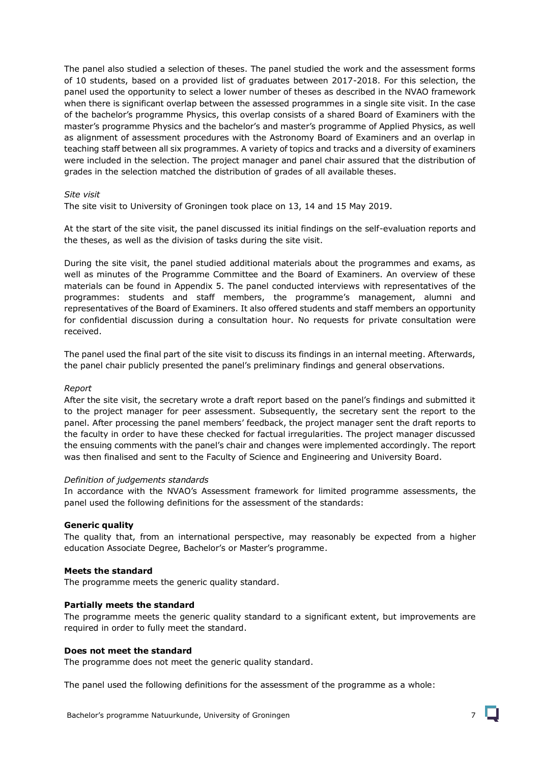The panel also studied a selection of theses. The panel studied the work and the assessment forms of 10 students, based on a provided list of graduates between 2017-2018. For this selection, the panel used the opportunity to select a lower number of theses as described in the NVAO framework when there is significant overlap between the assessed programmes in a single site visit. In the case of the bachelor's programme Physics, this overlap consists of a shared Board of Examiners with the master's programme Physics and the bachelor's and master's programme of Applied Physics, as well as alignment of assessment procedures with the Astronomy Board of Examiners and an overlap in teaching staff between all six programmes. A variety of topics and tracks and a diversity of examiners were included in the selection. The project manager and panel chair assured that the distribution of grades in the selection matched the distribution of grades of all available theses.

#### *Site visit*

The site visit to University of Groningen took place on 13, 14 and 15 May 2019.

At the start of the site visit, the panel discussed its initial findings on the self-evaluation reports and the theses, as well as the division of tasks during the site visit.

During the site visit, the panel studied additional materials about the programmes and exams, as well as minutes of the Programme Committee and the Board of Examiners. An overview of these materials can be found in Appendix 5. The panel conducted interviews with representatives of the programmes: students and staff members, the programme's management, alumni and representatives of the Board of Examiners. It also offered students and staff members an opportunity for confidential discussion during a consultation hour. No requests for private consultation were received.

The panel used the final part of the site visit to discuss its findings in an internal meeting. Afterwards, the panel chair publicly presented the panel's preliminary findings and general observations.

#### *Report*

After the site visit, the secretary wrote a draft report based on the panel's findings and submitted it to the project manager for peer assessment. Subsequently, the secretary sent the report to the panel. After processing the panel members' feedback, the project manager sent the draft reports to the faculty in order to have these checked for factual irregularities. The project manager discussed the ensuing comments with the panel's chair and changes were implemented accordingly. The report was then finalised and sent to the Faculty of Science and Engineering and University Board.

#### *Definition of judgements standards*

In accordance with the NVAO's Assessment framework for limited programme assessments, the panel used the following definitions for the assessment of the standards:

#### **Generic quality**

The quality that, from an international perspective, may reasonably be expected from a higher education Associate Degree, Bachelor's or Master's programme.

#### **Meets the standard**

The programme meets the generic quality standard.

#### **Partially meets the standard**

The programme meets the generic quality standard to a significant extent, but improvements are required in order to fully meet the standard.

#### **Does not meet the standard**

The programme does not meet the generic quality standard.

The panel used the following definitions for the assessment of the programme as a whole: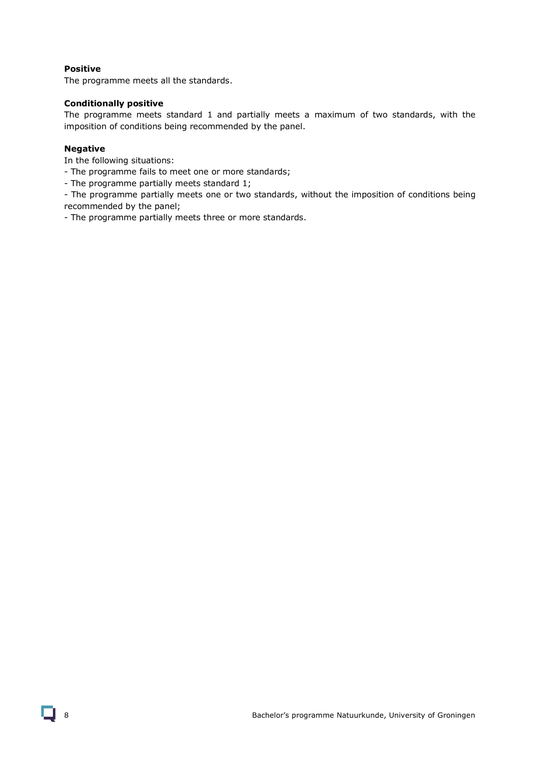#### **Positive**

The programme meets all the standards.

#### **Conditionally positive**

The programme meets standard 1 and partially meets a maximum of two standards, with the imposition of conditions being recommended by the panel.

#### **Negative**

In the following situations:

- The programme fails to meet one or more standards;
- The programme partially meets standard 1;

- The programme partially meets one or two standards, without the imposition of conditions being recommended by the panel;

- The programme partially meets three or more standards.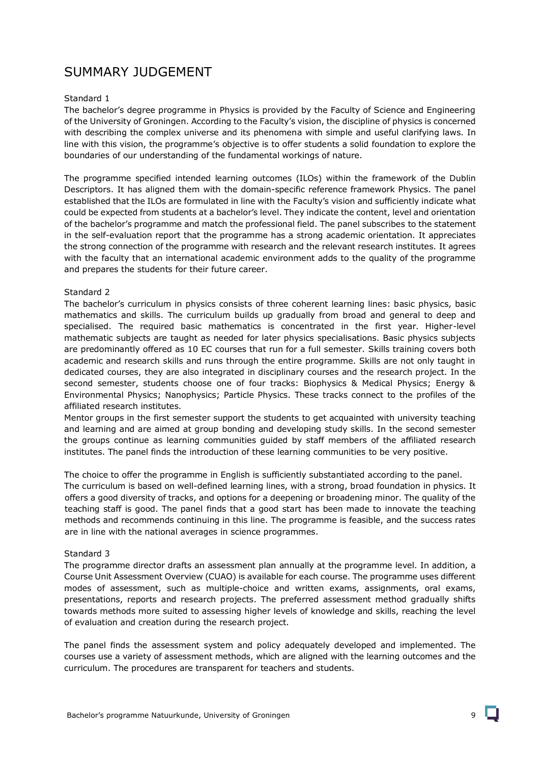## <span id="page-8-0"></span>SUMMARY JUDGEMENT

#### Standard 1

The bachelor's degree programme in Physics is provided by the Faculty of Science and Engineering of the University of Groningen. According to the Faculty's vision, the discipline of physics is concerned with describing the complex universe and its phenomena with simple and useful clarifying laws. In line with this vision, the programme's objective is to offer students a solid foundation to explore the boundaries of our understanding of the fundamental workings of nature.

The programme specified intended learning outcomes (ILOs) within the framework of the Dublin Descriptors. It has aligned them with the domain-specific reference framework Physics. The panel established that the ILOs are formulated in line with the Faculty's vision and sufficiently indicate what could be expected from students at a bachelor's level. They indicate the content, level and orientation of the bachelor's programme and match the professional field. The panel subscribes to the statement in the self-evaluation report that the programme has a strong academic orientation. It appreciates the strong connection of the programme with research and the relevant research institutes. It agrees with the faculty that an international academic environment adds to the quality of the programme and prepares the students for their future career.

#### Standard 2

The bachelor's curriculum in physics consists of three coherent learning lines: basic physics, basic mathematics and skills. The curriculum builds up gradually from broad and general to deep and specialised. The required basic mathematics is concentrated in the first year. Higher-level mathematic subjects are taught as needed for later physics specialisations. Basic physics subjects are predominantly offered as 10 EC courses that run for a full semester. Skills training covers both academic and research skills and runs through the entire programme. Skills are not only taught in dedicated courses, they are also integrated in disciplinary courses and the research project. In the second semester, students choose one of four tracks: Biophysics & Medical Physics; Energy & Environmental Physics; Nanophysics; Particle Physics. These tracks connect to the profiles of the affiliated research institutes.

Mentor groups in the first semester support the students to get acquainted with university teaching and learning and are aimed at group bonding and developing study skills. In the second semester the groups continue as learning communities guided by staff members of the affiliated research institutes. The panel finds the introduction of these learning communities to be very positive.

The choice to offer the programme in English is sufficiently substantiated according to the panel. The curriculum is based on well-defined learning lines, with a strong, broad foundation in physics. It offers a good diversity of tracks, and options for a deepening or broadening minor. The quality of the teaching staff is good. The panel finds that a good start has been made to innovate the teaching methods and recommends continuing in this line. The programme is feasible, and the success rates are in line with the national averages in science programmes.

#### Standard 3

The programme director drafts an assessment plan annually at the programme level. In addition, a Course Unit Assessment Overview (CUAO) is available for each course. The programme uses different modes of assessment, such as multiple-choice and written exams, assignments, oral exams, presentations, reports and research projects. The preferred assessment method gradually shifts towards methods more suited to assessing higher levels of knowledge and skills, reaching the level of evaluation and creation during the research project.

The panel finds the assessment system and policy adequately developed and implemented. The courses use a variety of assessment methods, which are aligned with the learning outcomes and the curriculum. The procedures are transparent for teachers and students.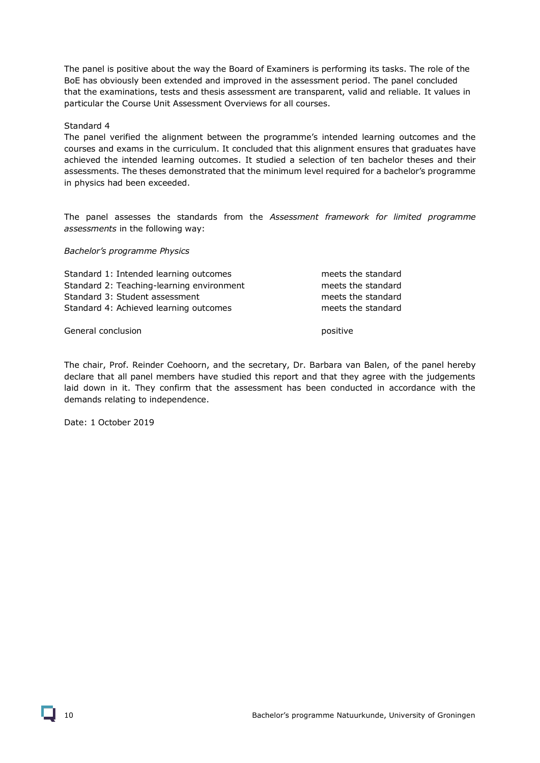The panel is positive about the way the Board of Examiners is performing its tasks. The role of the BoE has obviously been extended and improved in the assessment period. The panel concluded that the examinations, tests and thesis assessment are transparent, valid and reliable. It values in particular the Course Unit Assessment Overviews for all courses.

#### Standard 4

The panel verified the alignment between the programme's intended learning outcomes and the courses and exams in the curriculum. It concluded that this alignment ensures that graduates have achieved the intended learning outcomes. It studied a selection of ten bachelor theses and their assessments. The theses demonstrated that the minimum level required for a bachelor's programme in physics had been exceeded.

The panel assesses the standards from the *Assessment framework for limited programme assessments* in the following way:

#### *Bachelor's programme Physics*

| Standard 1: Intended learning outcomes    | meets the standard |
|-------------------------------------------|--------------------|
| Standard 2: Teaching-learning environment | meets the standard |
| Standard 3: Student assessment            | meets the standard |
| Standard 4: Achieved learning outcomes    | meets the standard |
| General conclusion                        | positive           |

The chair, Prof. Reinder Coehoorn, and the secretary, Dr. Barbara van Balen, of the panel hereby declare that all panel members have studied this report and that they agree with the judgements laid down in it. They confirm that the assessment has been conducted in accordance with the demands relating to independence.

Date: 1 October 2019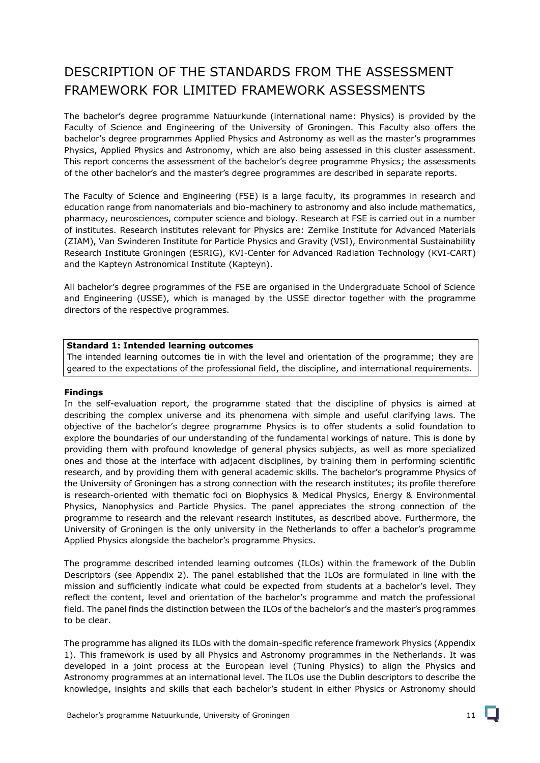## <span id="page-10-0"></span>DESCRIPTION OF THE STANDARDS FROM THE ASSESSMENT FRAMEWORK FOR LIMITED FRAMEWORK ASSESSMENTS

The bachelor's degree programme Natuurkunde (international name: Physics) is provided by the Faculty of Science and Engineering of the University of Groningen. This Faculty also offers the bachelor's degree programmes Applied Physics and Astronomy as well as the master's programmes Physics, Applied Physics and Astronomy, which are also being assessed in this cluster assessment. This report concerns the assessment of the bachelor's degree programme Physics; the assessments of the other bachelor's and the master's degree programmes are described in separate reports.

The Faculty of Science and Engineering (FSE) is a large faculty, its programmes in research and education range from nanomaterials and bio-machinery to astronomy and also include mathematics, pharmacy, neurosciences, computer science and biology. Research at FSE is carried out in a number of institutes. Research institutes relevant for Physics are: Zernike Institute for Advanced Materials (ZIAM), Van Swinderen Institute for Particle Physics and Gravity (VSI), Environmental Sustainability Research Institute Groningen (ESRIG), KVI-Center for Advanced Radiation Technology (KVI-CART) and the Kapteyn Astronomical Institute (Kapteyn).

All bachelor's degree programmes of the FSE are organised in the Undergraduate School of Science and Engineering (USSE), which is managed by the USSE director together with the programme directors of the respective programmes.

#### **Standard 1: Intended learning outcomes**

The intended learning outcomes tie in with the level and orientation of the programme; they are geared to the expectations of the professional field, the discipline, and international requirements.

#### **Findings**

In the self-evaluation report, the programme stated that the discipline of physics is aimed at describing the complex universe and its phenomena with simple and useful clarifying laws. The objective of the bachelor's degree programme Physics is to offer students a solid foundation to explore the boundaries of our understanding of the fundamental workings of nature. This is done by providing them with profound knowledge of general physics subjects, as well as more specialized ones and those at the interface with adjacent disciplines, by training them in performing scientific research, and by providing them with general academic skills. The bachelor's programme Physics of the University of Groningen has a strong connection with the research institutes; its profile therefore is research-oriented with thematic foci on Biophysics & Medical Physics, Energy & Environmental Physics, Nanophysics and Particle Physics. The panel appreciates the strong connection of the programme to research and the relevant research institutes, as described above. Furthermore, the University of Groningen is the only university in the Netherlands to offer a bachelor's programme Applied Physics alongside the bachelor's programme Physics.

The programme described intended learning outcomes (ILOs) within the framework of the Dublin Descriptors (see Appendix 2). The panel established that the ILOs are formulated in line with the mission and sufficiently indicate what could be expected from students at a bachelor's level. They reflect the content, level and orientation of the bachelor's programme and match the professional field. The panel finds the distinction between the ILOs of the bachelor's and the master's programmes to be clear.

The programme has aligned its ILOs with the domain-specific reference framework Physics (Appendix 1). This framework is used by all Physics and Astronomy programmes in the Netherlands. It was developed in a joint process at the European level (Tuning Physics) to align the Physics and Astronomy programmes at an international level. The ILOs use the Dublin descriptors to describe the knowledge, insights and skills that each bachelor's student in either Physics or Astronomy should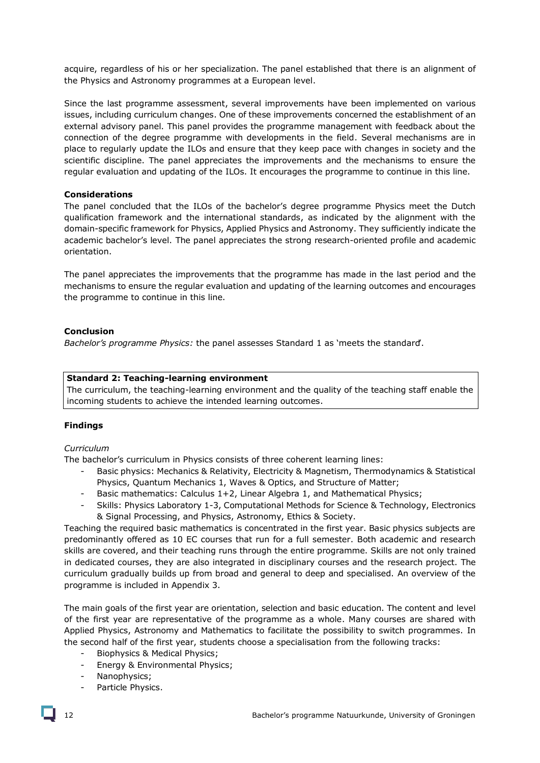acquire, regardless of his or her specialization. The panel established that there is an alignment of the Physics and Astronomy programmes at a European level.

Since the last programme assessment, several improvements have been implemented on various issues, including curriculum changes. One of these improvements concerned the establishment of an external advisory panel. This panel provides the programme management with feedback about the connection of the degree programme with developments in the field. Several mechanisms are in place to regularly update the ILOs and ensure that they keep pace with changes in society and the scientific discipline. The panel appreciates the improvements and the mechanisms to ensure the regular evaluation and updating of the ILOs. It encourages the programme to continue in this line.

#### **Considerations**

The panel concluded that the ILOs of the bachelor's degree programme Physics meet the Dutch qualification framework and the international standards, as indicated by the alignment with the domain-specific framework for Physics, Applied Physics and Astronomy. They sufficiently indicate the academic bachelor's level. The panel appreciates the strong research-oriented profile and academic orientation.

The panel appreciates the improvements that the programme has made in the last period and the mechanisms to ensure the regular evaluation and updating of the learning outcomes and encourages the programme to continue in this line.

#### **Conclusion**

*Bachelor's programme Physics:* the panel assesses Standard 1 as 'meets the standard'.

#### **Standard 2: Teaching-learning environment**

The curriculum, the teaching-learning environment and the quality of the teaching staff enable the incoming students to achieve the intended learning outcomes.

#### **Findings**

#### *Curriculum*

The bachelor's curriculum in Physics consists of three coherent learning lines:

- Basic physics: Mechanics & Relativity, Electricity & Magnetism, Thermodynamics & Statistical Physics, Quantum Mechanics 1, Waves & Optics, and Structure of Matter;
- Basic mathematics: Calculus 1+2, Linear Algebra 1, and Mathematical Physics;
- Skills: Physics Laboratory 1-3, Computational Methods for Science & Technology, Electronics & Signal Processing, and Physics, Astronomy, Ethics & Society.

Teaching the required basic mathematics is concentrated in the first year. Basic physics subjects are predominantly offered as 10 EC courses that run for a full semester. Both academic and research skills are covered, and their teaching runs through the entire programme. Skills are not only trained in dedicated courses, they are also integrated in disciplinary courses and the research project. The curriculum gradually builds up from broad and general to deep and specialised. An overview of the programme is included in Appendix 3.

The main goals of the first year are orientation, selection and basic education. The content and level of the first year are representative of the programme as a whole. Many courses are shared with Applied Physics, Astronomy and Mathematics to facilitate the possibility to switch programmes. In the second half of the first year, students choose a specialisation from the following tracks:

- Biophysics & Medical Physics;
- Energy & Environmental Physics;
- Nanophysics;
- Particle Physics.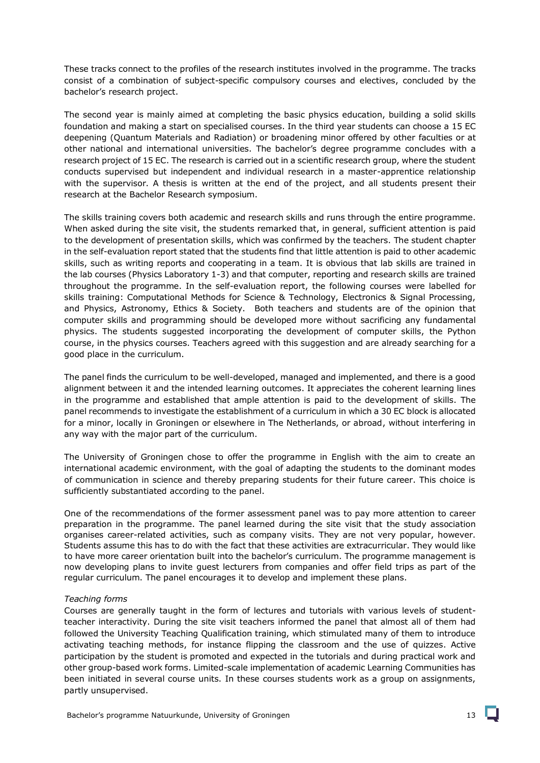These tracks connect to the profiles of the research institutes involved in the programme. The tracks consist of a combination of subject-specific compulsory courses and electives, concluded by the bachelor's research project.

The second year is mainly aimed at completing the basic physics education, building a solid skills foundation and making a start on specialised courses. In the third year students can choose a 15 EC deepening (Quantum Materials and Radiation) or broadening minor offered by other faculties or at other national and international universities. The bachelor's degree programme concludes with a research project of 15 EC. The research is carried out in a scientific research group, where the student conducts supervised but independent and individual research in a master-apprentice relationship with the supervisor. A thesis is written at the end of the project, and all students present their research at the Bachelor Research symposium.

The skills training covers both academic and research skills and runs through the entire programme. When asked during the site visit, the students remarked that, in general, sufficient attention is paid to the development of presentation skills, which was confirmed by the teachers. The student chapter in the self-evaluation report stated that the students find that little attention is paid to other academic skills, such as writing reports and cooperating in a team. It is obvious that lab skills are trained in the lab courses (Physics Laboratory 1-3) and that computer, reporting and research skills are trained throughout the programme. In the self-evaluation report, the following courses were labelled for skills training: Computational Methods for Science & Technology, Electronics & Signal Processing, and Physics, Astronomy, Ethics & Society. Both teachers and students are of the opinion that computer skills and programming should be developed more without sacrificing any fundamental physics. The students suggested incorporating the development of computer skills, the Python course, in the physics courses. Teachers agreed with this suggestion and are already searching for a good place in the curriculum.

The panel finds the curriculum to be well-developed, managed and implemented, and there is a good alignment between it and the intended learning outcomes. It appreciates the coherent learning lines in the programme and established that ample attention is paid to the development of skills. The panel recommends to investigate the establishment of a curriculum in which a 30 EC block is allocated for a minor, locally in Groningen or elsewhere in The Netherlands, or abroad, without interfering in any way with the major part of the curriculum.

The University of Groningen chose to offer the programme in English with the aim to create an international academic environment, with the goal of adapting the students to the dominant modes of communication in science and thereby preparing students for their future career. This choice is sufficiently substantiated according to the panel.

One of the recommendations of the former assessment panel was to pay more attention to career preparation in the programme. The panel learned during the site visit that the study association organises career-related activities, such as company visits. They are not very popular, however. Students assume this has to do with the fact that these activities are extracurricular. They would like to have more career orientation built into the bachelor's curriculum. The programme management is now developing plans to invite guest lecturers from companies and offer field trips as part of the regular curriculum. The panel encourages it to develop and implement these plans.

#### *Teaching forms*

Courses are generally taught in the form of lectures and tutorials with various levels of studentteacher interactivity. During the site visit teachers informed the panel that almost all of them had followed the University Teaching Qualification training, which stimulated many of them to introduce activating teaching methods, for instance flipping the classroom and the use of quizzes. Active participation by the student is promoted and expected in the tutorials and during practical work and other group-based work forms. Limited-scale implementation of academic Learning Communities has been initiated in several course units. In these courses students work as a group on assignments, partly unsupervised.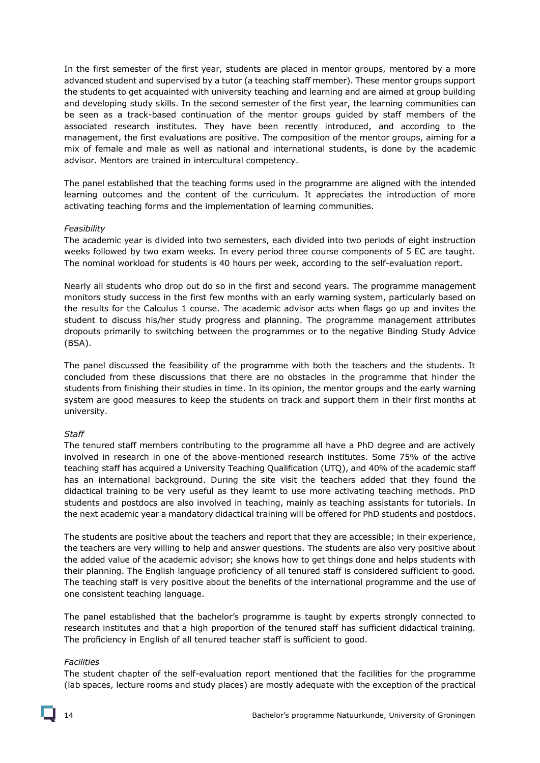In the first semester of the first year, students are placed in mentor groups, mentored by a more advanced student and supervised by a tutor (a teaching staff member). These mentor groups support the students to get acquainted with university teaching and learning and are aimed at group building and developing study skills. In the second semester of the first year, the learning communities can be seen as a track-based continuation of the mentor groups guided by staff members of the associated research institutes. They have been recently introduced, and according to the management, the first evaluations are positive. The composition of the mentor groups, aiming for a mix of female and male as well as national and international students, is done by the academic advisor. Mentors are trained in intercultural competency.

The panel established that the teaching forms used in the programme are aligned with the intended learning outcomes and the content of the curriculum. It appreciates the introduction of more activating teaching forms and the implementation of learning communities.

#### *Feasibility*

The academic year is divided into two semesters, each divided into two periods of eight instruction weeks followed by two exam weeks. In every period three course components of 5 EC are taught. The nominal workload for students is 40 hours per week, according to the self-evaluation report.

Nearly all students who drop out do so in the first and second years. The programme management monitors study success in the first few months with an early warning system, particularly based on the results for the Calculus 1 course. The academic advisor acts when flags go up and invites the student to discuss his/her study progress and planning. The programme management attributes dropouts primarily to switching between the programmes or to the negative Binding Study Advice (BSA).

The panel discussed the feasibility of the programme with both the teachers and the students. It concluded from these discussions that there are no obstacles in the programme that hinder the students from finishing their studies in time. In its opinion, the mentor groups and the early warning system are good measures to keep the students on track and support them in their first months at university.

#### *Staff*

The tenured staff members contributing to the programme all have a PhD degree and are actively involved in research in one of the above-mentioned research institutes. Some 75% of the active teaching staff has acquired a University Teaching Qualification (UTQ), and 40% of the academic staff has an international background. During the site visit the teachers added that they found the didactical training to be very useful as they learnt to use more activating teaching methods. PhD students and postdocs are also involved in teaching, mainly as teaching assistants for tutorials. In the next academic year a mandatory didactical training will be offered for PhD students and postdocs.

The students are positive about the teachers and report that they are accessible; in their experience, the teachers are very willing to help and answer questions. The students are also very positive about the added value of the academic advisor; she knows how to get things done and helps students with their planning. The English language proficiency of all tenured staff is considered sufficient to good. The teaching staff is very positive about the benefits of the international programme and the use of one consistent teaching language.

The panel established that the bachelor's programme is taught by experts strongly connected to research institutes and that a high proportion of the tenured staff has sufficient didactical training. The proficiency in English of all tenured teacher staff is sufficient to good.

#### *Facilities*

The student chapter of the self-evaluation report mentioned that the facilities for the programme (lab spaces, lecture rooms and study places) are mostly adequate with the exception of the practical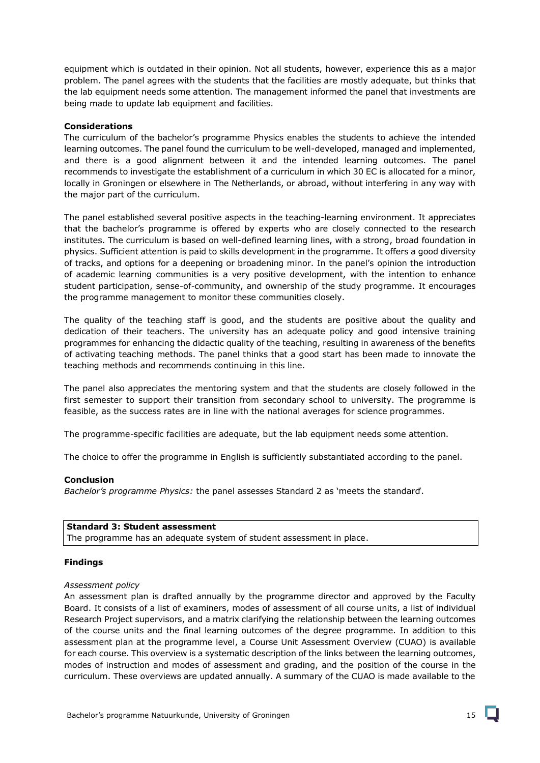equipment which is outdated in their opinion. Not all students, however, experience this as a major problem. The panel agrees with the students that the facilities are mostly adequate, but thinks that the lab equipment needs some attention. The management informed the panel that investments are being made to update lab equipment and facilities.

#### **Considerations**

The curriculum of the bachelor's programme Physics enables the students to achieve the intended learning outcomes. The panel found the curriculum to be well-developed, managed and implemented, and there is a good alignment between it and the intended learning outcomes. The panel recommends to investigate the establishment of a curriculum in which 30 EC is allocated for a minor, locally in Groningen or elsewhere in The Netherlands, or abroad, without interfering in any way with the major part of the curriculum.

The panel established several positive aspects in the teaching-learning environment. It appreciates that the bachelor's programme is offered by experts who are closely connected to the research institutes. The curriculum is based on well-defined learning lines, with a strong, broad foundation in physics. Sufficient attention is paid to skills development in the programme. It offers a good diversity of tracks, and options for a deepening or broadening minor. In the panel's opinion the introduction of academic learning communities is a very positive development, with the intention to enhance student participation, sense-of-community, and ownership of the study programme. It encourages the programme management to monitor these communities closely.

The quality of the teaching staff is good, and the students are positive about the quality and dedication of their teachers. The university has an adequate policy and good intensive training programmes for enhancing the didactic quality of the teaching, resulting in awareness of the benefits of activating teaching methods. The panel thinks that a good start has been made to innovate the teaching methods and recommends continuing in this line.

The panel also appreciates the mentoring system and that the students are closely followed in the first semester to support their transition from secondary school to university. The programme is feasible, as the success rates are in line with the national averages for science programmes.

The programme-specific facilities are adequate, but the lab equipment needs some attention.

The choice to offer the programme in English is sufficiently substantiated according to the panel.

#### **Conclusion**

*Bachelor's programme Physics:* the panel assesses Standard 2 as 'meets the standard'.

#### **Standard 3: Student assessment**

The programme has an adequate system of student assessment in place.

#### **Findings**

#### *Assessment policy*

An assessment plan is drafted annually by the programme director and approved by the Faculty Board. It consists of a list of examiners, modes of assessment of all course units, a list of individual Research Project supervisors, and a matrix clarifying the relationship between the learning outcomes of the course units and the final learning outcomes of the degree programme. In addition to this assessment plan at the programme level, a Course Unit Assessment Overview (CUAO) is available for each course. This overview is a systematic description of the links between the learning outcomes, modes of instruction and modes of assessment and grading, and the position of the course in the curriculum. These overviews are updated annually. A summary of the CUAO is made available to the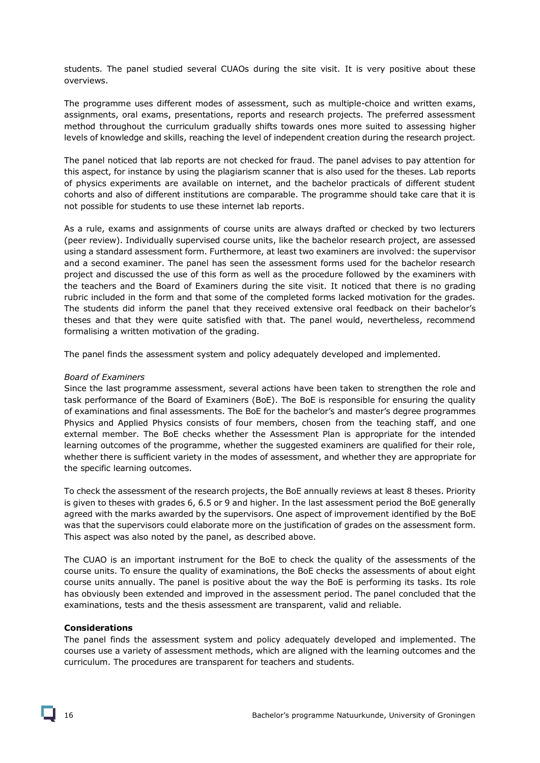students. The panel studied several CUAOs during the site visit. It is very positive about these overviews.

The programme uses different modes of assessment, such as multiple-choice and written exams, assignments, oral exams, presentations, reports and research projects. The preferred assessment method throughout the curriculum gradually shifts towards ones more suited to assessing higher levels of knowledge and skills, reaching the level of independent creation during the research project.

The panel noticed that lab reports are not checked for fraud. The panel advises to pay attention for this aspect, for instance by using the plagiarism scanner that is also used for the theses. Lab reports of physics experiments are available on internet, and the bachelor practicals of different student cohorts and also of different institutions are comparable. The programme should take care that it is not possible for students to use these internet lab reports.

As a rule, exams and assignments of course units are always drafted or checked by two lecturers (peer review). Individually supervised course units, like the bachelor research project, are assessed using a standard assessment form. Furthermore, at least two examiners are involved: the supervisor and a second examiner. The panel has seen the assessment forms used for the bachelor research project and discussed the use of this form as well as the procedure followed by the examiners with the teachers and the Board of Examiners during the site visit. It noticed that there is no grading rubric included in the form and that some of the completed forms lacked motivation for the grades. The students did inform the panel that they received extensive oral feedback on their bachelor's theses and that they were quite satisfied with that. The panel would, nevertheless, recommend formalising a written motivation of the grading.

The panel finds the assessment system and policy adequately developed and implemented.

#### *Board of Examiners*

Since the last programme assessment, several actions have been taken to strengthen the role and task performance of the Board of Examiners (BoE). The BoE is responsible for ensuring the quality of examinations and final assessments. The BoE for the bachelor's and master's degree programmes Physics and Applied Physics consists of four members, chosen from the teaching staff, and one external member. The BoE checks whether the Assessment Plan is appropriate for the intended learning outcomes of the programme, whether the suggested examiners are qualified for their role, whether there is sufficient variety in the modes of assessment, and whether they are appropriate for the specific learning outcomes.

To check the assessment of the research projects, the BoE annually reviews at least 8 theses. Priority is given to theses with grades 6, 6.5 or 9 and higher. In the last assessment period the BoE generally agreed with the marks awarded by the supervisors. One aspect of improvement identified by the BoE was that the supervisors could elaborate more on the justification of grades on the assessment form. This aspect was also noted by the panel, as described above.

The CUAO is an important instrument for the BoE to check the quality of the assessments of the course units. To ensure the quality of examinations, the BoE checks the assessments of about eight course units annually. The panel is positive about the way the BoE is performing its tasks. Its role has obviously been extended and improved in the assessment period. The panel concluded that the examinations, tests and the thesis assessment are transparent, valid and reliable.

#### **Considerations**

The panel finds the assessment system and policy adequately developed and implemented. The courses use a variety of assessment methods, which are aligned with the learning outcomes and the curriculum. The procedures are transparent for teachers and students.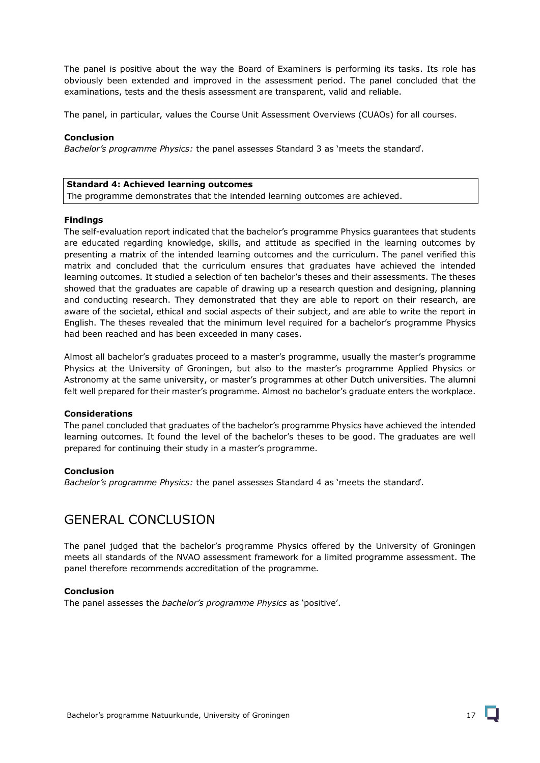The panel is positive about the way the Board of Examiners is performing its tasks. Its role has obviously been extended and improved in the assessment period. The panel concluded that the examinations, tests and the thesis assessment are transparent, valid and reliable.

The panel, in particular, values the Course Unit Assessment Overviews (CUAOs) for all courses.

#### **Conclusion**

*Bachelor's programme Physics:* the panel assesses Standard 3 as 'meets the standard'.

#### **Standard 4: Achieved learning outcomes**

The programme demonstrates that the intended learning outcomes are achieved.

#### **Findings**

The self-evaluation report indicated that the bachelor's programme Physics guarantees that students are educated regarding knowledge, skills, and attitude as specified in the learning outcomes by presenting a matrix of the intended learning outcomes and the curriculum. The panel verified this matrix and concluded that the curriculum ensures that graduates have achieved the intended learning outcomes. It studied a selection of ten bachelor's theses and their assessments. The theses showed that the graduates are capable of drawing up a research question and designing, planning and conducting research. They demonstrated that they are able to report on their research, are aware of the societal, ethical and social aspects of their subject, and are able to write the report in English. The theses revealed that the minimum level required for a bachelor's programme Physics had been reached and has been exceeded in many cases.

Almost all bachelor's graduates proceed to a master's programme, usually the master's programme Physics at the University of Groningen, but also to the master's programme Applied Physics or Astronomy at the same university, or master's programmes at other Dutch universities. The alumni felt well prepared for their master's programme. Almost no bachelor's graduate enters the workplace.

#### **Considerations**

The panel concluded that graduates of the bachelor's programme Physics have achieved the intended learning outcomes. It found the level of the bachelor's theses to be good. The graduates are well prepared for continuing their study in a master's programme.

#### **Conclusion**

*Bachelor's programme Physics:* the panel assesses Standard 4 as 'meets the standard'.

### GENERAL CONCLUSION

The panel judged that the bachelor's programme Physics offered by the University of Groningen meets all standards of the NVAO assessment framework for a limited programme assessment. The panel therefore recommends accreditation of the programme.

#### **Conclusion**

The panel assesses the *bachelor's programme Physics* as 'positive'.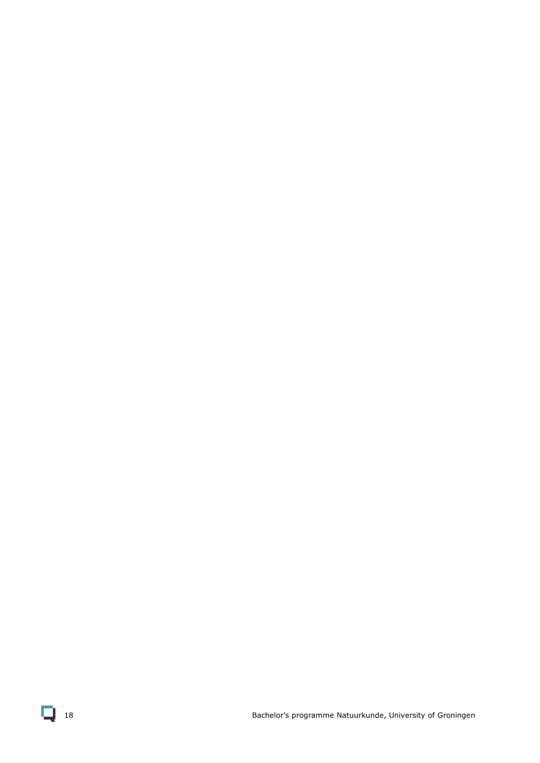**Bachelor's programme Natuurkunde, University of Groningen**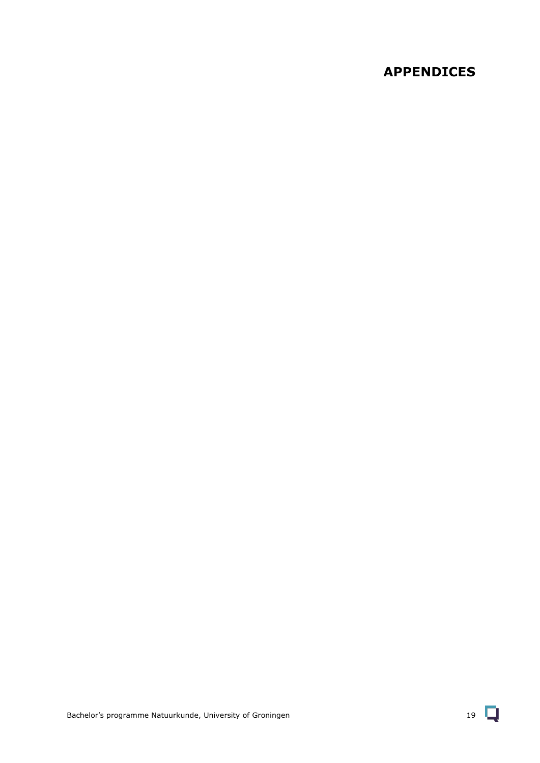### <span id="page-18-0"></span>**APPENDICES**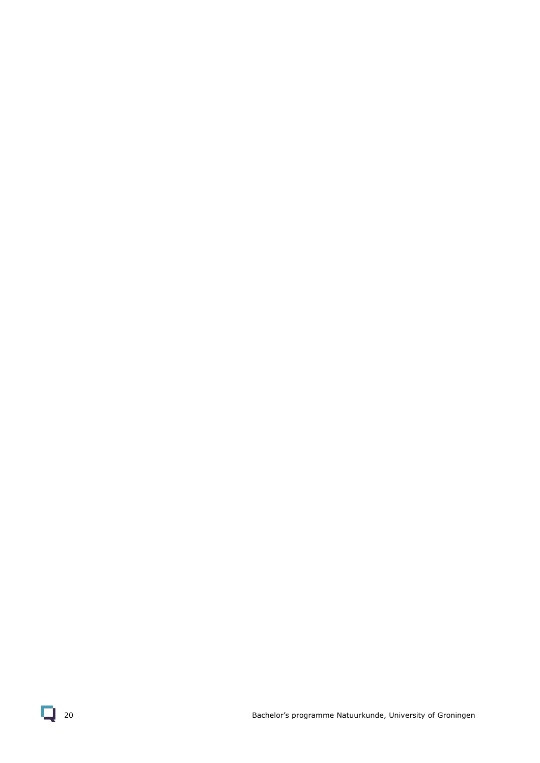<sup>2</sup> Bachelor's programme Natuurkunde, University of Groningen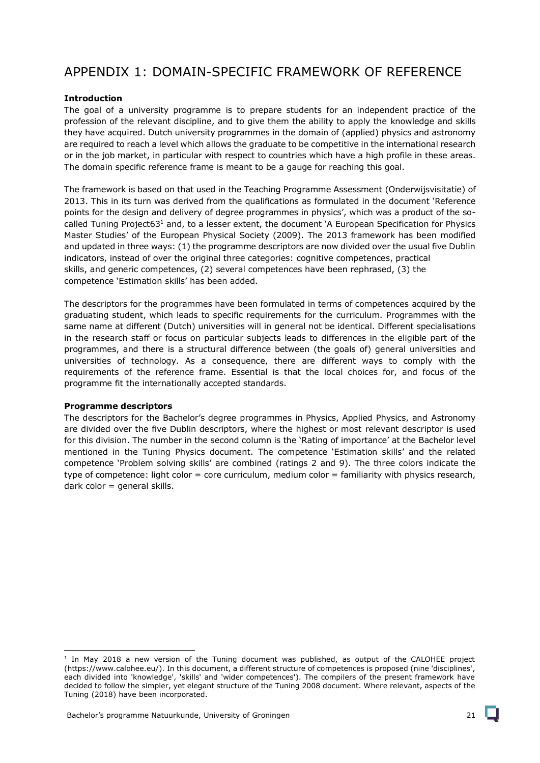### <span id="page-20-0"></span>APPENDIX 1: DOMAIN-SPECIFIC FRAMEWORK OF REFERENCE

#### **Introduction**

The goal of a university programme is to prepare students for an independent practice of the profession of the relevant discipline, and to give them the ability to apply the knowledge and skills they have acquired. Dutch university programmes in the domain of (applied) physics and astronomy are required to reach a level which allows the graduate to be competitive in the international research or in the job market, in particular with respect to countries which have a high profile in these areas. The domain specific reference frame is meant to be a gauge for reaching this goal.

The framework is based on that used in the Teaching Programme Assessment (Onderwijsvisitatie) of 2013. This in its turn was derived from the qualifications as formulated in the document 'Reference points for the design and delivery of degree programmes in physics', which was a product of the socalled Tuning Project63<sup>1</sup> and, to a lesser extent, the document 'A European Specification for Physics Master Studies' of the European Physical Society (2009). The 2013 framework has been modified and updated in three ways: (1) the programme descriptors are now divided over the usual five Dublin indicators, instead of over the original three categories: cognitive competences, practical skills, and generic competences, (2) several competences have been rephrased, (3) the competence 'Estimation skills' has been added.

The descriptors for the programmes have been formulated in terms of competences acquired by the graduating student, which leads to specific requirements for the curriculum. Programmes with the same name at different (Dutch) universities will in general not be identical. Different specialisations in the research staff or focus on particular subjects leads to differences in the eligible part of the programmes, and there is a structural difference between (the goals of) general universities and universities of technology. As a consequence, there are different ways to comply with the requirements of the reference frame. Essential is that the local choices for, and focus of the programme fit the internationally accepted standards.

#### **Programme descriptors**

The descriptors for the Bachelor's degree programmes in Physics, Applied Physics, and Astronomy are divided over the five Dublin descriptors, where the highest or most relevant descriptor is used for this division. The number in the second column is the 'Rating of importance' at the Bachelor level mentioned in the Tuning Physics document. The competence 'Estimation skills' and the related competence 'Problem solving skills' are combined (ratings 2 and 9). The three colors indicate the type of competence: light color = core curriculum, medium color = familiarity with physics research, dark color = general skills.

 1 In May 2018 a new version of the Tuning document was published, as output of the CALOHEE project (https://www.calohee.eu/). In this document, a different structure of competences is proposed (nine 'disciplines', each divided into 'knowledge', 'skills' and 'wider competences'). The compilers of the present framework have decided to follow the simpler, yet elegant structure of the Tuning 2008 document. Where relevant, aspects of the Tuning (2018) have been incorporated.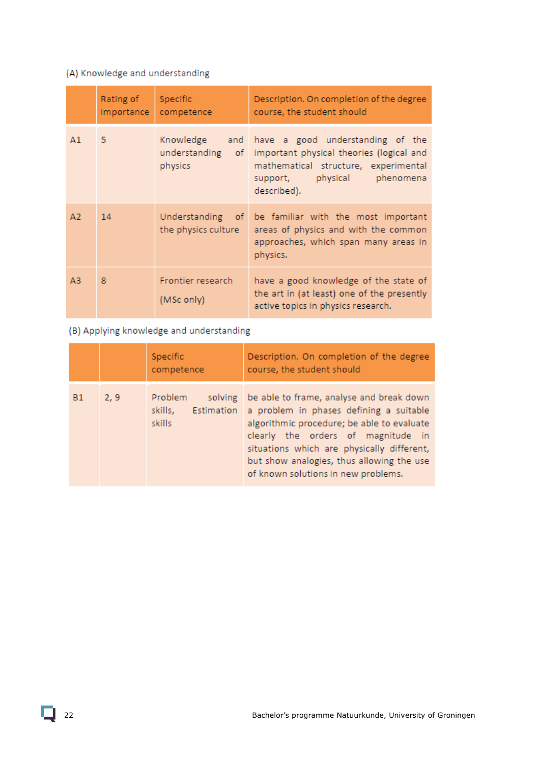### (A) Knowledge and understanding

|    | Rating of<br>importance | Specific<br>competence                          | Description. On completion of the degree<br>course, the student should                                                                                             |
|----|-------------------------|-------------------------------------------------|--------------------------------------------------------------------------------------------------------------------------------------------------------------------|
| A1 | -5.                     | Knowledge<br>and<br>understanding of<br>physics | have a good understanding of the<br>important physical theories (logical and<br>mathematical structure, experimental<br>support, physical phenomena<br>described). |
| A2 | 14                      | Understanding of<br>the physics culture         | be familiar with the most important<br>areas of physics and with the common<br>approaches, which span many areas in<br>physics.                                    |
| A3 | 8                       | Frontier research<br>(MSc only)                 | have a good knowledge of the state of<br>the art in (at least) one of the presently<br>active topics in physics research.                                          |

### (B) Applying knowledge and understanding

|           |      | Specific<br>competence                                | Description. On completion of the degree<br>course, the student should                                                                                                                                                                                                                                    |
|-----------|------|-------------------------------------------------------|-----------------------------------------------------------------------------------------------------------------------------------------------------------------------------------------------------------------------------------------------------------------------------------------------------------|
| <b>B1</b> | 2, 9 | Problem<br>solving<br>Estimation<br>skills,<br>skills | be able to frame, analyse and break down<br>a problem in phases defining a suitable<br>algorithmic procedure; be able to evaluate<br>clearly the orders of magnitude in<br>situations which are physically different,<br>but show analogies, thus allowing the use<br>of known solutions in new problems. |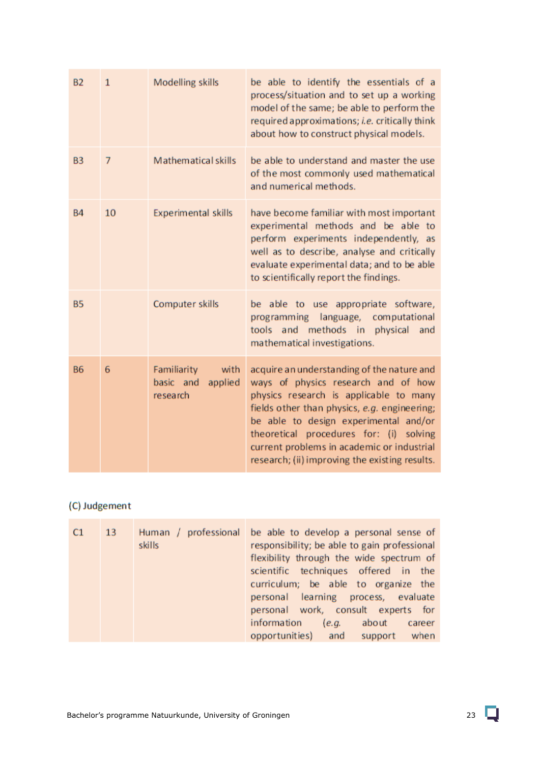| <b>B2</b> | $\mathbf{1}$ | Modelling skills                                        | be able to identify the essentials of a<br>process/situation and to set up a working<br>model of the same; be able to perform the<br>required approximations; i.e. critically think<br>about how to construct physical models.                                                                                                                                  |
|-----------|--------------|---------------------------------------------------------|-----------------------------------------------------------------------------------------------------------------------------------------------------------------------------------------------------------------------------------------------------------------------------------------------------------------------------------------------------------------|
| <b>B3</b> | 7            | Mathematical skills                                     | be able to understand and master the use<br>of the most commonly used mathematical<br>and numerical methods.                                                                                                                                                                                                                                                    |
| <b>B4</b> | 10           | <b>Experimental skills</b>                              | have become familiar with most important<br>experimental methods and be able to<br>perform experiments independently, as<br>well as to describe, analyse and critically<br>evaluate experimental data; and to be able<br>to scientifically report the findings.                                                                                                 |
| <b>B5</b> |              | <b>Computer skills</b>                                  | be able to use appropriate software,<br>programming<br>language,<br>computational<br>tools and methods in physical<br>and<br>mathematical investigations.                                                                                                                                                                                                       |
| <b>B6</b> | 6            | Familiarity<br>with<br>basic and<br>applied<br>research | acquire an understanding of the nature and<br>ways of physics research and of how<br>physics research is applicable to many<br>fields other than physics, e.g. engineering;<br>be able to design experimental and/or<br>theoretical procedures for: (i) solving<br>current problems in academic or industrial<br>research; (ii) improving the existing results. |

### (C) Judgement

| C1 | 13 | professional<br>Human /<br>skills | be able to develop a personal sense of<br>responsibility; be able to gain professional<br>flexibility through the wide spectrum of<br>scientific techniques offered in the<br>curriculum; be able to organize the<br>learning process, evaluate<br>personal<br>personal work, consult experts for |
|----|----|-----------------------------------|---------------------------------------------------------------------------------------------------------------------------------------------------------------------------------------------------------------------------------------------------------------------------------------------------|
|    |    |                                   | information<br>about<br>(e.g.<br>career<br>opportunities)<br>when<br>and<br>support                                                                                                                                                                                                               |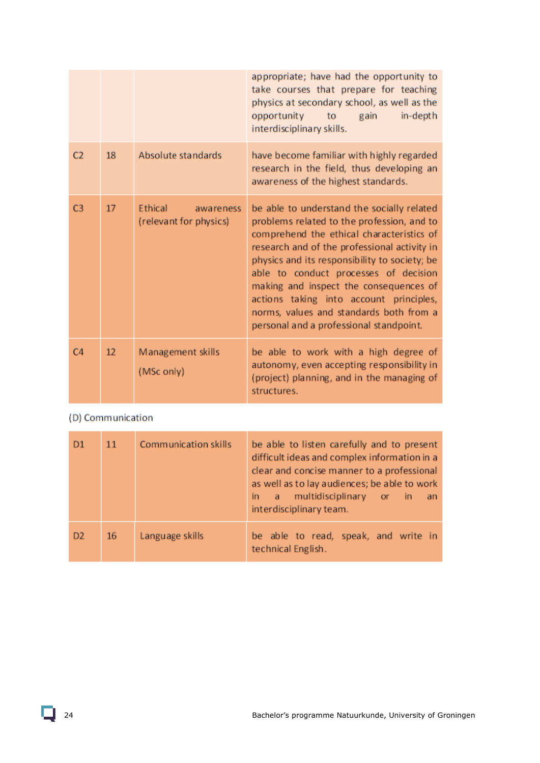|                |    |                                                | appropriate; have had the opportunity to<br>take courses that prepare for teaching<br>physics at secondary school, as well as the<br>opportunity<br>in-depth<br>to to<br>gain<br>interdisciplinary skills.                                                                                                                                                                                                                                                 |
|----------------|----|------------------------------------------------|------------------------------------------------------------------------------------------------------------------------------------------------------------------------------------------------------------------------------------------------------------------------------------------------------------------------------------------------------------------------------------------------------------------------------------------------------------|
| C <sub>2</sub> | 18 | Absolute standards                             | have become familiar with highly regarded<br>research in the field, thus developing an<br>awareness of the highest standards.                                                                                                                                                                                                                                                                                                                              |
| C <sub>3</sub> | 17 | Ethical<br>awareness<br>(relevant for physics) | be able to understand the socially related<br>problems related to the profession, and to<br>comprehend the ethical characteristics of<br>research and of the professional activity in<br>physics and its responsibility to society; be<br>able to conduct processes of decision<br>making and inspect the consequences of<br>actions taking into account principles,<br>norms, values and standards both from a<br>personal and a professional standpoint. |
| C <sub>4</sub> | 12 | Management skills<br>(MSc only)                | be able to work with a high degree of<br>autonomy, even accepting responsibility in<br>(project) planning, and in the managing of<br>structures.                                                                                                                                                                                                                                                                                                           |

### (D) Communication

| D <sub>1</sub> | 11 | <b>Communication skills</b> | be able to listen carefully and to present<br>difficult ideas and complex information in a<br>clear and concise manner to a professional<br>as well as to lay audiences; be able to work<br>in a multidisciplinary or<br>- in<br>an<br>interdisciplinary team. |
|----------------|----|-----------------------------|----------------------------------------------------------------------------------------------------------------------------------------------------------------------------------------------------------------------------------------------------------------|
| D <sub>2</sub> | 16 | Language skills             | be able to read, speak, and write in<br>technical English.                                                                                                                                                                                                     |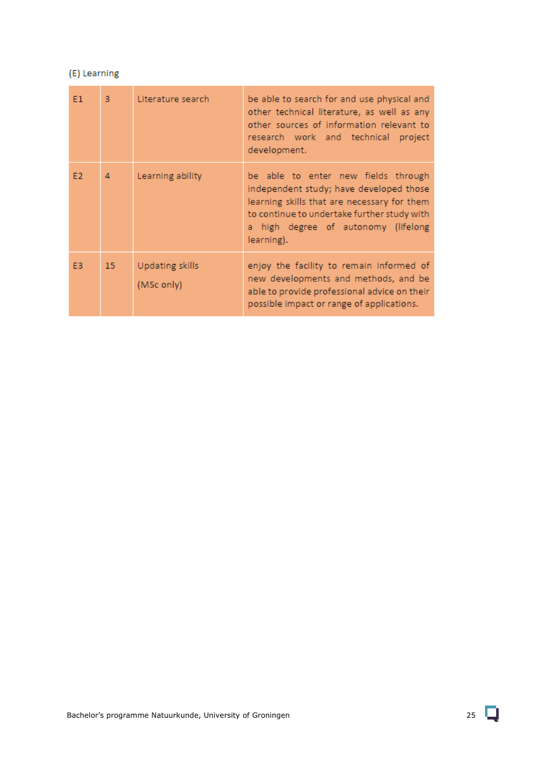### (E) Learning

| E1             | 3  | Literature search             | be able to search for and use physical and<br>other technical literature, as well as any<br>other sources of information relevant to<br>research work and technical project<br>development.                                       |
|----------------|----|-------------------------------|-----------------------------------------------------------------------------------------------------------------------------------------------------------------------------------------------------------------------------------|
| E <sub>2</sub> | 4  | Learning ability              | be able to enter new fields through<br>independent study; have developed those<br>learning skills that are necessary for them<br>to continue to undertake further study with<br>a high degree of autonomy (lifelong<br>learning). |
| E <sub>3</sub> | 15 | Updating skills<br>(MSc only) | enjoy the facility to remain informed of<br>new developments and methods, and be<br>able to provide professional advice on their<br>possible impact or range of applications.                                                     |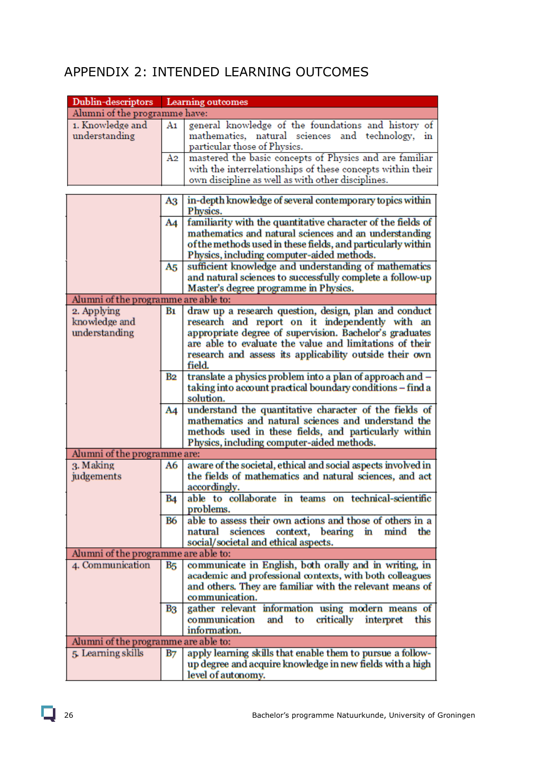# <span id="page-25-0"></span>APPENDIX 2: INTENDED LEARNING OUTCOMES

| Dublin-descriptors                            |                | <b>Learning outcomes</b>                                                                                                                                                                                                                                                                  |
|-----------------------------------------------|----------------|-------------------------------------------------------------------------------------------------------------------------------------------------------------------------------------------------------------------------------------------------------------------------------------------|
| Alumni of the programme have:                 |                |                                                                                                                                                                                                                                                                                           |
| 1. Knowledge and<br>understanding             | A1             | general knowledge of the foundations and history of<br>mathematics, natural sciences and technology, in<br>particular those of Physics.                                                                                                                                                   |
|                                               | A2             | mastered the basic concepts of Physics and are familiar<br>with the interrelationships of these concepts within their<br>own discipline as well as with other disciplines.                                                                                                                |
|                                               |                |                                                                                                                                                                                                                                                                                           |
|                                               | A3             | in-depth knowledge of several contemporary topics within<br>Physics.                                                                                                                                                                                                                      |
|                                               | A4             | familiarity with the quantitative character of the fields of<br>mathematics and natural sciences and an understanding<br>of the methods used in these fields, and particularly within<br>Physics, including computer-aided methods.                                                       |
|                                               | A5             | sufficient knowledge and understanding of mathematics<br>and natural sciences to successfully complete a follow-up<br>Master's degree programme in Physics.                                                                                                                               |
| Alumni of the programme are able to:          |                |                                                                                                                                                                                                                                                                                           |
| 2. Applying<br>knowledge and<br>understanding | <b>B1</b>      | draw up a research question, design, plan and conduct<br>research and report on it independently with an<br>appropriate degree of supervision. Bachelor's graduates<br>are able to evaluate the value and limitations of their<br>research and assess its applicability outside their own |
|                                               |                | field.                                                                                                                                                                                                                                                                                    |
|                                               | B <sub>2</sub> | translate a physics problem into a plan of approach and -<br>taking into account practical boundary conditions – find a<br>solution.                                                                                                                                                      |
|                                               | A4             | understand the quantitative character of the fields of<br>mathematics and natural sciences and understand the<br>methods used in these fields, and particularly within<br>Physics, including computer-aided methods.                                                                      |
| Alumni of the programme are:                  |                |                                                                                                                                                                                                                                                                                           |
| 3. Making<br>judgements                       | A6             | aware of the societal, ethical and social aspects involved in<br>the fields of mathematics and natural sciences, and act<br>accordingly.                                                                                                                                                  |
|                                               | <b>B4</b>      | able to collaborate in teams on technical-scientific<br>problems.                                                                                                                                                                                                                         |
|                                               | <b>B6</b>      | able to assess their own actions and those of others in a<br>sciences<br>context, bearing<br>mind<br>the<br>natural<br>in<br>social/societal and ethical aspects.                                                                                                                         |
| Alumni of the programme are able to:          |                |                                                                                                                                                                                                                                                                                           |
| 4. Communication                              | B <sub>5</sub> | communicate in English, both orally and in writing, in<br>academic and professional contexts, with both colleagues<br>and others. They are familiar with the relevant means of<br>communication.                                                                                          |
|                                               | B3             | gather relevant information using modern means of<br>communication<br>and<br>to<br>critically<br>interpret<br>this<br>information.                                                                                                                                                        |
| Alumni of the programme are able to:          |                |                                                                                                                                                                                                                                                                                           |
| 5. Learning skills                            | B7             | apply learning skills that enable them to pursue a follow-<br>up degree and acquire knowledge in new fields with a high<br>level of autonomy.                                                                                                                                             |

П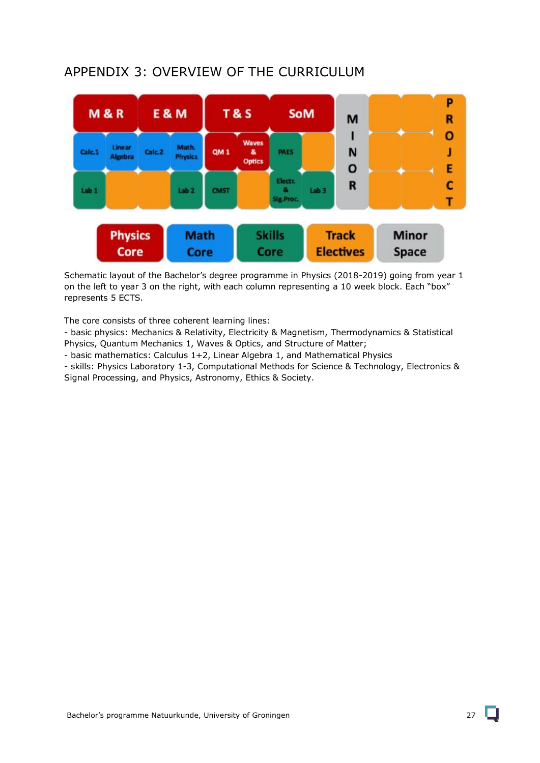### <span id="page-26-0"></span>APPENDIX 3: OVERVIEW OF THE CURRICULUM



Schematic layout of the Bachelor's degree programme in Physics (2018-2019) going from year 1 on the left to year 3 on the right, with each column representing a 10 week block. Each "box" represents 5 ECTS.

The core consists of three coherent learning lines:

- basic physics: Mechanics & Relativity, Electricity & Magnetism, Thermodynamics & Statistical Physics, Quantum Mechanics 1, Waves & Optics, and Structure of Matter;

- basic mathematics: Calculus 1+2, Linear Algebra 1, and Mathematical Physics

- skills: Physics Laboratory 1-3, Computational Methods for Science & Technology, Electronics & Signal Processing, and Physics, Astronomy, Ethics & Society.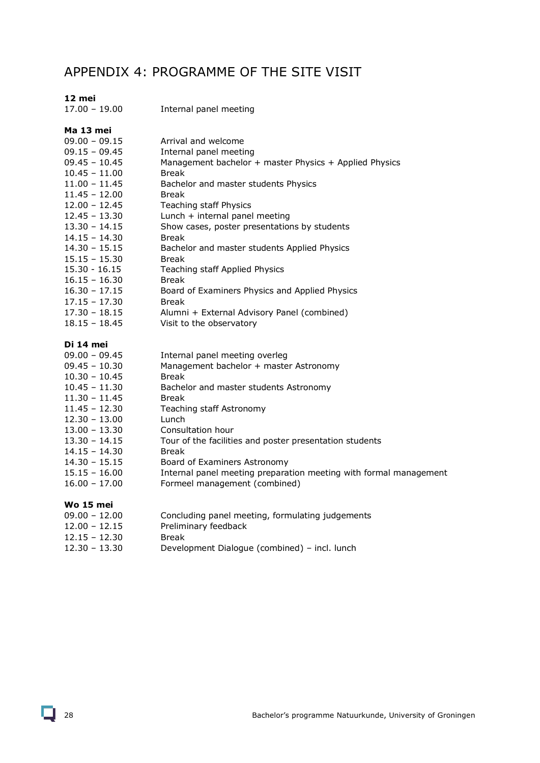### <span id="page-27-0"></span>APPENDIX 4: PROGRAMME OF THE SITE VISIT

#### **12 mei**

| $17.00 - 19.00$ | Internal panel meeting |
|-----------------|------------------------|
|                 |                        |

**Ma 13 mei**

| $09.00 - 09.15$ | Arrival and welcome                                    |
|-----------------|--------------------------------------------------------|
| $09.15 - 09.45$ | Internal panel meeting                                 |
| $09.45 - 10.45$ | Management bachelor + master Physics + Applied Physics |
| $10.45 - 11.00$ | <b>Break</b>                                           |
| $11.00 - 11.45$ | Bachelor and master students Physics                   |
| $11.45 - 12.00$ | <b>Break</b>                                           |
| $12.00 - 12.45$ | Teaching staff Physics                                 |
| $12.45 - 13.30$ | Lunch $+$ internal panel meeting                       |
| $13.30 - 14.15$ | Show cases, poster presentations by students           |
| $14.15 - 14.30$ | <b>Break</b>                                           |
| $14.30 - 15.15$ | Bachelor and master students Applied Physics           |
| $15.15 - 15.30$ | <b>Break</b>                                           |
| $15.30 - 16.15$ | Teaching staff Applied Physics                         |
| $16.15 - 16.30$ | <b>Break</b>                                           |
| $16.30 - 17.15$ | Board of Examiners Physics and Applied Physics         |
| $17.15 - 17.30$ | <b>Break</b>                                           |
| $17.30 - 18.15$ | Alumni + External Advisory Panel (combined)            |
| $18.15 - 18.45$ | Visit to the observatory                               |
|                 |                                                        |

#### **Di 14 mei**

| $09.00 - 09.45$ | Internal panel meeting overleg                                    |
|-----------------|-------------------------------------------------------------------|
| $09.45 - 10.30$ | Management bachelor + master Astronomy                            |
| $10.30 - 10.45$ | <b>Break</b>                                                      |
| $10.45 - 11.30$ | Bachelor and master students Astronomy                            |
| $11.30 - 11.45$ | <b>Break</b>                                                      |
| $11.45 - 12.30$ | Teaching staff Astronomy                                          |
| $12.30 - 13.00$ | Lunch                                                             |
| $13.00 - 13.30$ | Consultation hour                                                 |
| $13.30 - 14.15$ | Tour of the facilities and poster presentation students           |
| $14.15 - 14.30$ | <b>Break</b>                                                      |
| $14.30 - 15.15$ | Board of Examiners Astronomy                                      |
| $15.15 - 16.00$ | Internal panel meeting preparation meeting with formal management |
| $16.00 - 17.00$ | Formeel management (combined)                                     |
|                 |                                                                   |

#### **Wo 15 mei**

| Concluding panel meeting, formulating judgements |
|--------------------------------------------------|
|                                                  |

- 12.00 12.15 Preliminary feedback
- 12.15 12.30 Break
- 12.30 13.30 Development Dialogue (combined) incl. lunch